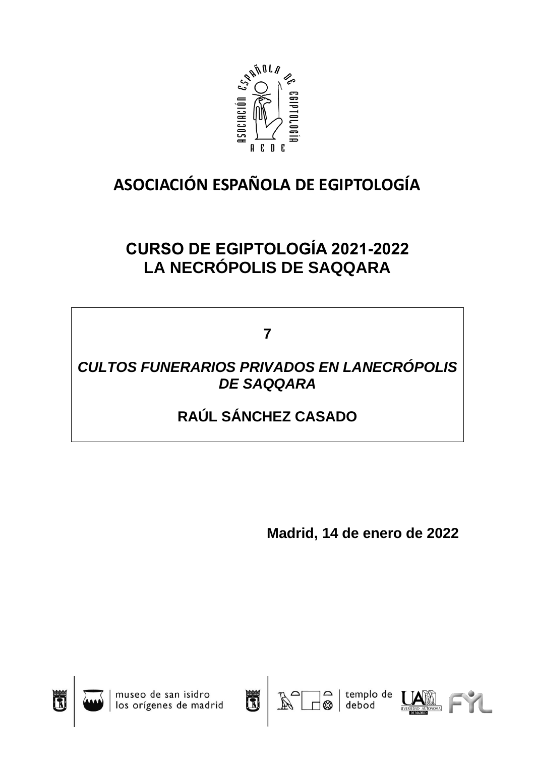

# **ASOCIACIÓN ESPAÑOLA DE EGIPTOLOGÍA**

## **CURSO DE EGIPTOLOGÍA 2021-2022 LA NECRÓPOLIS DE SAQQARA**

**7**

### *CULTOS FUNERARIOS PRIVADOS EN LANECRÓPOLIS DE SAQQARA*

## **RAÚL SÁNCHEZ CASADO**

**Madrid, 14 de enero de 2022**

debo







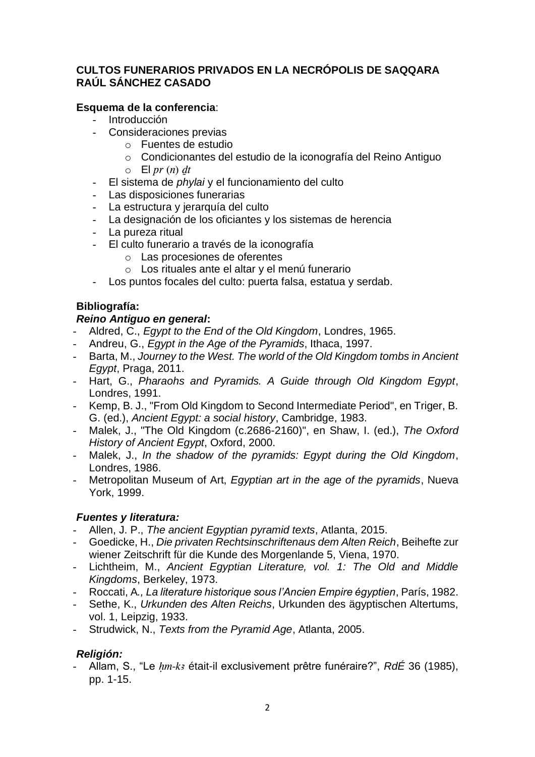#### **CULTOS FUNERARIOS PRIVADOS EN LA NECRÓPOLIS DE SAQQARA RAÚL SÁNCHEZ CASADO**

#### **Esquema de la conferencia**:

- **Introducción**
- Consideraciones previas
	- o Fuentes de estudio
	- o Condicionantes del estudio de la iconografía del Reino Antiguo
	- $\circ$  El *pr* (*n*) dt
- El sistema de *phylai* y el funcionamiento del culto
- Las disposiciones funerarias
- La estructura y jerarquía del culto
- La designación de los oficiantes y los sistemas de herencia
- La pureza ritual
- El culto funerario a través de la iconografía
	- o Las procesiones de oferentes
	- o Los rituales ante el altar y el menú funerario
- Los puntos focales del culto: puerta falsa, estatua y serdab.

#### **Bibliografía:**

#### *Reino Antiguo en general***:**

- Aldred, C., *Egypt to the End of the Old Kingdom*, Londres, 1965.
- Andreu, G., *Egypt in the Age of the Pyramids*, Ithaca, 1997.
- Barta, M., *Journey to the West. The world of the Old Kingdom tombs in Ancient Egypt*, Praga, 2011.
- Hart, G., *Pharaohs and Pyramids. A Guide through Old Kingdom Egypt*, Londres, 1991.
- Kemp, B. J., "From Old Kingdom to Second Intermediate Period", en Triger, B. G. (ed.), *Ancient Egypt: a social history*, Cambridge, 1983.
- Malek, J., "The Old Kingdom (c.2686-2160)", en Shaw, I. (ed.), *The Oxford History of Ancient Egypt*, Oxford, 2000.
- Malek, J., *In the shadow of the pyramids: Egypt during the Old Kingdom*, Londres, 1986.
- Metropolitan Museum of Art, *Egyptian art in the age of the pyramids*, Nueva York, 1999.

#### *Fuentes y literatura:*

- Allen, J. P., *The ancient Egyptian pyramid texts*, Atlanta, 2015.
- Goedicke, H., *Die privaten Rechtsinschriftenaus dem Alten Reich*, Beihefte zur wiener Zeitschrift für die Kunde des Morgenlande 5, Viena, 1970.
- Lichtheim, M., *Ancient Egyptian Literature, vol. 1: The Old and Middle Kingdoms*, Berkeley, 1973.
- Roccati, A*., La literature historique sous l'Ancien Empire égyptien*, París, 1982.
- Sethe, K., *Urkunden des Alten Reichs*, Urkunden des ägyptischen Altertums, vol. 1, Leipzig, 1933.
- Strudwick, N., *Texts from the Pyramid Age*, Atlanta, 2005.

#### *Religión:*

- Allam, S., "Le *Hm-kA* était-il exclusivement prêtre funéraire?", *RdÉ* 36 (1985), pp. 1-15.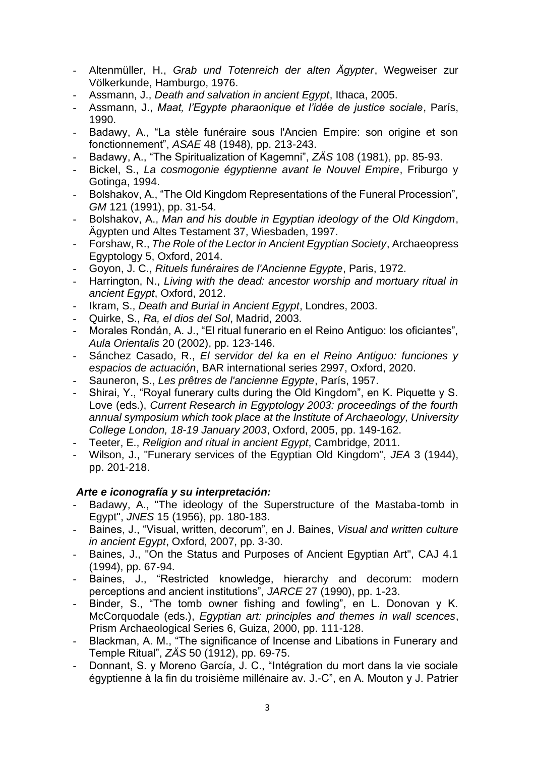- Altenmüller, H., *Grab und Totenreich der alten Ägypter*, Wegweiser zur Völkerkunde, Hamburgo, 1976.
- Assmann, J., *Death and salvation in ancient Egypt*, Ithaca, 2005.
- Assmann, J., *Maat, l'Egypte pharaonique et l'idée de justice sociale*, París, 1990.
- Badawy, A., "La stèle funéraire sous l'Ancien Empire: son origine et son fonctionnement", *ASAE* 48 (1948), pp. 213-243.
- Badawy, A., "The Spiritualization of Kagemni", *ZÄS* 108 (1981), pp. 85-93.
- Bickel, S., *La cosmogonie égyptienne avant le Nouvel Empire*, Friburgo y Gotinga, 1994.
- Bolshakov, A., "The Old Kingdom Representations of the Funeral Procession", *GM* 121 (1991), pp. 31-54.
- Bolshakov, A., *Man and his double in Egyptian ideology of the Old Kingdom*, Ägypten und Altes Testament 37, Wiesbaden, 1997.
- Forshaw, R., *The Role of the Lector in Ancient Egyptian Society*, Archaeopress Egyptology 5, Oxford, 2014.
- Goyon, J. C., *Rituels funéraires de l'Ancienne Egypte*, Paris, 1972.
- Harrington, N., *Living with the dead: ancestor worship and mortuary ritual in ancient Egypt*, Oxford, 2012.
- Ikram, S., *Death and Burial in Ancient Egypt*, Londres, 2003.
- Quirke, S., *Ra, el dios del Sol*, Madrid, 2003.
- Morales Rondán, A. J., "El ritual funerario en el Reino Antiguo: los oficiantes", *Aula Orientalis* 20 (2002), pp. 123-146.
- Sánchez Casado, R., *El servidor del ka en el Reino Antiguo: funciones y espacios de actuación*, BAR international series 2997, Oxford, 2020.
- Sauneron, S., *Les prêtres de l'ancienne Egypte*, París, 1957.
- Shirai, Y., "Royal funerary cults during the Old Kingdom", en K. Piquette y S. Love (eds.), *Current Research in Egyptology 2003: proceedings of the fourth annual symposium which took place at the Institute of Archaeology, University College London, 18-19 January 2003*, Oxford, 2005, pp. 149-162.
- Teeter, E., *Religion and ritual in ancient Egypt*, Cambridge, 2011.
- Wilson, J., "Funerary services of the Egyptian Old Kingdom", *JEA* 3 (1944), pp. 201-218.

#### *Arte e iconografía y su interpretación:*

- Badawy, A., "The ideology of the Superstructure of the Mastaba-tomb in Egypt", *JNES* 15 (1956), pp. 180-183.
- Baines, J., "Visual, written, decorum", en J. Baines, *Visual and written culture in ancient Egypt*, Oxford, 2007, pp. 3-30.
- Baines, J., "On the Status and Purposes of Ancient Egyptian Art", CAJ 4.1 (1994), pp. 67-94.
- Baines, J., "Restricted knowledge, hierarchy and decorum: modern perceptions and ancient institutions", *JARCE* 27 (1990), pp. 1-23.
- Binder, S., "The tomb owner fishing and fowling", en L. Donovan y K. McCorquodale (eds.), *Egyptian art: principles and themes in wall scences*, Prism Archaeological Series 6, Guiza, 2000, pp. 111-128.
- Blackman, A. M., "The significance of Incense and Libations in Funerary and Temple Ritual", *ZÄS* 50 (1912), pp. 69-75.
- Donnant, S. y Moreno García, J. C., "Intégration du mort dans la vie sociale égyptienne à la fin du troisième millénaire av. J.-C", en A. Mouton y J. Patrier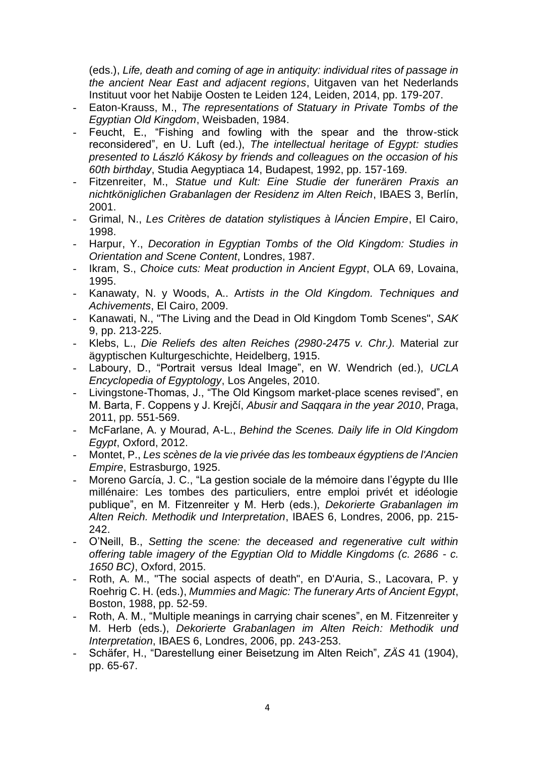(eds.), *Life, death and coming of age in antiquity: individual rites of passage in the ancient Near East and adjacent regions*, Uitgaven van het Nederlands Instituut voor het Nabije Oosten te Leiden 124, Leiden, 2014, pp. 179-207.

- Eaton-Krauss, M., *The representations of Statuary in Private Tombs of the Egyptian Old Kingdom*, Weisbaden, 1984.
- Feucht, E., "Fishing and fowling with the spear and the throw-stick reconsidered", en U. Luft (ed.), *The intellectual heritage of Egypt: studies presented to László Kákosy by friends and colleagues on the occasion of his 60th birthday*, Studia Aegyptiaca 14, Budapest, 1992, pp. 157-169.
- Fitzenreiter, M., *Statue und Kult: Eine Studie der funerären Praxis an nichtköniglichen Grabanlagen der Residenz im Alten Reich*, IBAES 3, Berlín, 2001.
- Grimal, N., *Les Critères de datation stylistiques à lÁncien Empire*, El Cairo, 1998.
- Harpur, Y., *Decoration in Egyptian Tombs of the Old Kingdom: Studies in Orientation and Scene Content*, Londres, 1987.
- Ikram, S., *Choice cuts: Meat production in Ancient Egypt*, OLA 69, Lovaina, 1995.
- Kanawaty, N. y Woods, A.. A*rtists in the Old Kingdom. Techniques and Achivements*, El Cairo, 2009.
- Kanawati, N., "The Living and the Dead in Old Kingdom Tomb Scenes", *SAK* 9, pp. 213-225.
- Klebs, L., *Die Reliefs des alten Reiches (2980-2475 v. Chr.).* Material zur ägyptischen Kulturgeschichte, Heidelberg, 1915.
- Laboury, D., "Portrait versus Ideal Image", en W. Wendrich (ed.), *UCLA Encyclopedia of Egyptology*, Los Angeles, 2010.
- Livingstone-Thomas, J., "The Old Kingsom market-place scenes revised", en M. Barta, F. Coppens y J. Krejčí, *Abusir and Saqqara in the year 2010*, Praga, 2011, pp. 551-569.
- McFarlane, A. y Mourad, A-L., *Behind the Scenes. Daily life in Old Kingdom Egypt*, Oxford, 2012.
- Montet, P., *Les scènes de la vie privée das les tombeaux égyptiens de l'Ancien Empire*, Estrasburgo, 1925.
- Moreno García, J. C., "La gestion sociale de la mémoire dans l'égypte du IIIe millénaire: Les tombes des particuliers, entre emploi privét et idéologie publique", en M. Fitzenreiter y M. Herb (eds.), *Dekorierte Grabanlagen im Alten Reich. Methodik und Interpretation*, IBAES 6, Londres, 2006, pp. 215- 242.
- O'Neill, B., *Setting the scene: the deceased and regenerative cult within offering table imagery of the Egyptian Old to Middle Kingdoms (c. 2686 - c. 1650 BC)*, Oxford, 2015.
- Roth, A. M., "The social aspects of death", en D'Auria, S., Lacovara, P. y Roehrig C. H. (eds.), *Mummies and Magic: The funerary Arts of Ancient Egypt*, Boston, 1988, pp. 52-59.
- Roth, A. M., "Multiple meanings in carrying chair scenes", en M. Fitzenreiter y M. Herb (eds.), *Dekorierte Grabanlagen im Alten Reich: Methodik und Interpretation*, IBAES 6, Londres, 2006, pp. 243-253.
- Schäfer, H., "Darestellung einer Beisetzung im Alten Reich", *ZÄS* 41 (1904), pp. 65-67.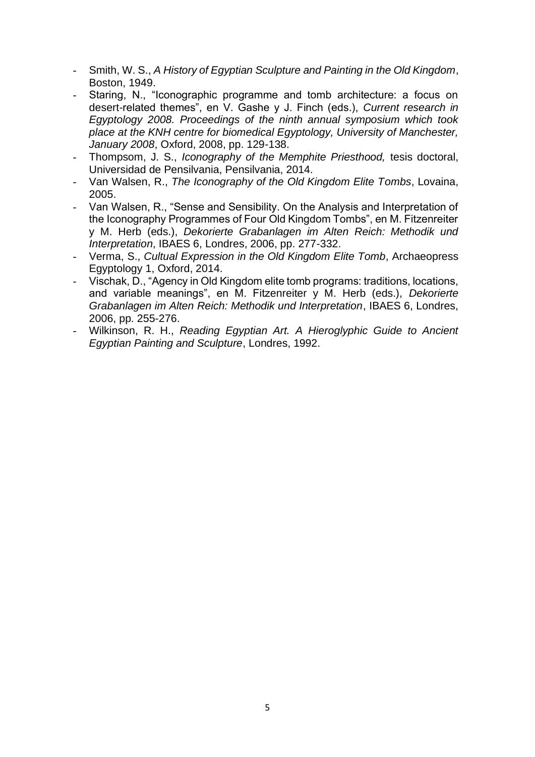- Smith, W. S., *A History of Egyptian Sculpture and Painting in the Old Kingdom*, Boston, 1949.
- Staring, N., "Iconographic programme and tomb architecture: a focus on desert-related themes", en V. Gashe y J. Finch (eds.), *Current research in Egyptology 2008. Proceedings of the ninth annual symposium which took place at the KNH centre for biomedical Egyptology, University of Manchester, January 2008*, Oxford, 2008, pp. 129-138.
- Thompsom, J. S., *Iconography of the Memphite Priesthood,* tesis doctoral, Universidad de Pensilvania, Pensilvania, 2014.
- Van Walsen, R., *The Iconography of the Old Kingdom Elite Tombs*, Lovaina, 2005.
- Van Walsen, R., "Sense and Sensibility. On the Analysis and Interpretation of the Iconography Programmes of Four Old Kingdom Tombs", en M. Fitzenreiter y M. Herb (eds.), *Dekorierte Grabanlagen im Alten Reich: Methodik und Interpretation*, IBAES 6, Londres, 2006, pp. 277-332.
- Verma, S., *Cultual Expression in the Old Kingdom Elite Tomb*, Archaeopress Egyptology 1, Oxford, 2014.
- Vischak, D., "Agency in Old Kingdom elite tomb programs: traditions, locations, and variable meanings", en M. Fitzenreiter y M. Herb (eds.), *Dekorierte Grabanlagen im Alten Reich: Methodik und Interpretation*, IBAES 6, Londres, 2006, pp. 255-276.
- Wilkinson, R. H., *Reading Egyptian Art. A Hieroglyphic Guide to Ancient Egyptian Painting and Sculpture*, Londres, 1992.